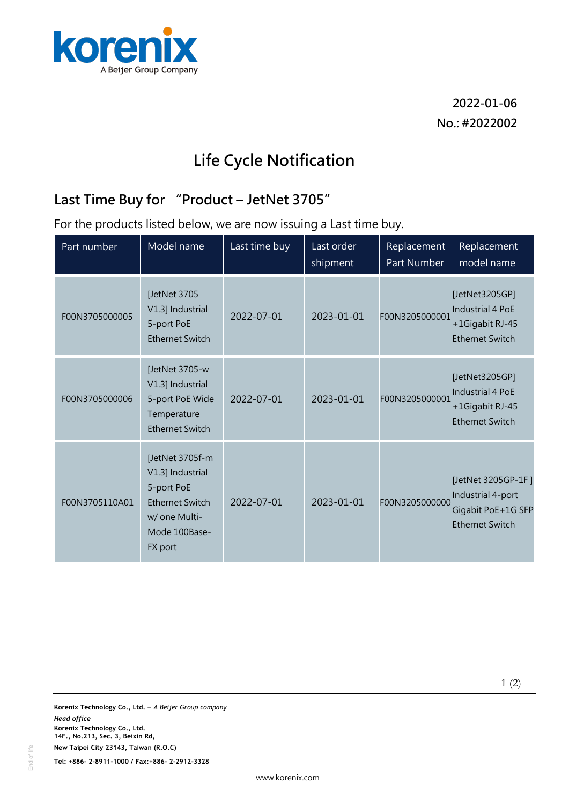

**2022-01-06 No.: #2022002**

## **Life Cycle Notification**

## **Last Time Buy for "Product – JetNet 3705"**

For the products listed below, we are now issuing a Last time buy.

| Part number    | Model name                                                                                                               | Last time buy | Last order<br>shipment | Replacement<br>Part Number | Replacement<br>model name                                                               |
|----------------|--------------------------------------------------------------------------------------------------------------------------|---------------|------------------------|----------------------------|-----------------------------------------------------------------------------------------|
| F00N3705000005 | [JetNet 3705<br>V1.3] Industrial<br>5-port PoE<br><b>Ethernet Switch</b>                                                 | 2022-07-01    | 2023-01-01             | F00N3205000001             | [JetNet3205GP]<br><b>Industrial 4 PoE</b><br>+1Gigabit RJ-45<br><b>Ethernet Switch</b>  |
| F00N3705000006 | [JetNet 3705-w<br>V1.3] Industrial<br>5-port PoE Wide<br>Temperature<br><b>Ethernet Switch</b>                           | 2022-07-01    | 2023-01-01             | F00N3205000001             | [JetNet3205GP]<br>Industrial 4 PoE<br>+1Gigabit RJ-45<br><b>Ethernet Switch</b>         |
| F00N3705110A01 | [JetNet 3705f-m<br>V1.3] Industrial<br>5-port PoE<br><b>Ethernet Switch</b><br>w/ one Multi-<br>Mode 100Base-<br>FX port | 2022-07-01    | 2023-01-01             | F00N3205000000             | [JetNet 3205GP-1F]<br>Industrial 4-port<br>Gigabit PoE+1G SFP<br><b>Ethernet Switch</b> |

1 (2)

**Tel: +886- 2-8911-1000 / Fax:+886- 2-2912-3328**